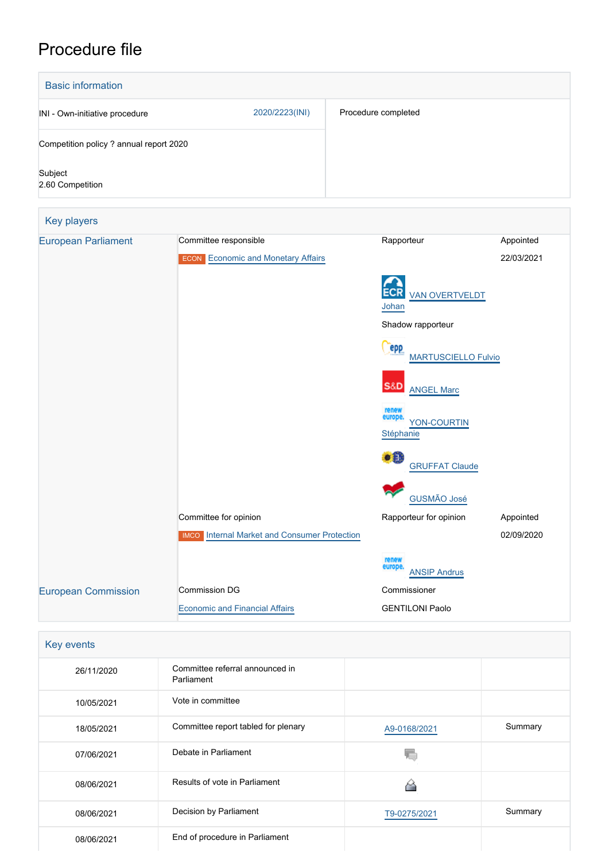# Procedure file

| <b>Basic information</b>                |                                                                    |                                              |                         |
|-----------------------------------------|--------------------------------------------------------------------|----------------------------------------------|-------------------------|
| INI - Own-initiative procedure          | 2020/2223(INI)                                                     | Procedure completed                          |                         |
| Competition policy ? annual report 2020 |                                                                    |                                              |                         |
| Subject<br>2.60 Competition             |                                                                    |                                              |                         |
| Key players                             |                                                                    |                                              |                         |
| <b>European Parliament</b>              | Committee responsible<br><b>ECON</b> Economic and Monetary Affairs | Rapporteur                                   | Appointed<br>22/03/2021 |
|                                         |                                                                    | <b>VAN OVERTVELDT</b><br>Johan               |                         |
|                                         |                                                                    | Shadow rapporteur                            |                         |
|                                         |                                                                    | <b>PPP</b><br><b>MARTUSCIELLO Fulvio</b>     |                         |
|                                         |                                                                    | S&D<br><b>ANGEL Marc</b>                     |                         |
|                                         |                                                                    | renew<br>europe.<br>YON-COURTIN<br>Stéphanie |                         |
|                                         |                                                                    | $\bullet$ in<br><b>GRUFFAT Claude</b>        |                         |
|                                         |                                                                    | <b>GUSMÃO José</b>                           |                         |
|                                         | Committee for opinion                                              | Rapporteur for opinion                       | Appointed               |
|                                         | <b>IMCO</b> Internal Market and Consumer Protection                |                                              | 02/09/2020              |
|                                         |                                                                    | renew<br>europe.<br><b>ANSIP Andrus</b>      |                         |
| <b>European Commission</b>              | Commission DG                                                      | Commissioner                                 |                         |
|                                         | <b>Economic and Financial Affairs</b>                              | <b>GENTILONI Paolo</b>                       |                         |

| <b>Key events</b> |
|-------------------|
|                   |

| 26/11/2020 | Committee referral announced in<br>Parliament |              |         |
|------------|-----------------------------------------------|--------------|---------|
| 10/05/2021 | Vote in committee                             |              |         |
| 18/05/2021 | Committee report tabled for plenary           | A9-0168/2021 | Summary |
| 07/06/2021 | Debate in Parliament                          |              |         |
| 08/06/2021 | Results of vote in Parliament                 |              |         |
| 08/06/2021 | Decision by Parliament                        | T9-0275/2021 | Summary |
| 08/06/2021 | End of procedure in Parliament                |              |         |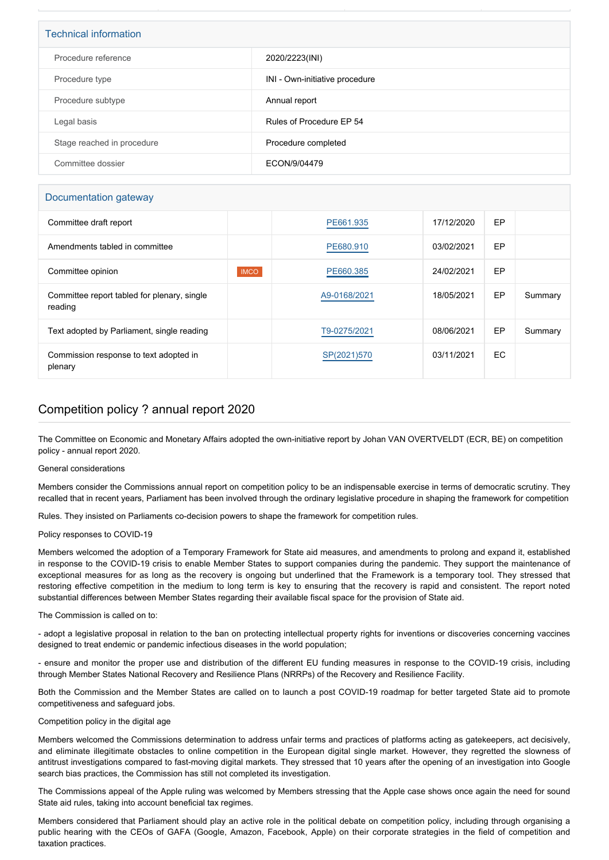| <b>Technical information</b> |                                |  |
|------------------------------|--------------------------------|--|
| Procedure reference          | 2020/2223(INI)                 |  |
| Procedure type               | INI - Own-initiative procedure |  |
| Procedure subtype            | Annual report                  |  |
| Legal basis                  | Rules of Procedure EP 54       |  |
| Stage reached in procedure   | Procedure completed            |  |
| Committee dossier            | ECON/9/04479                   |  |

### Documentation gateway

| Committee draft report                                 |             | PE661.935    | 17/12/2020 | EP |         |
|--------------------------------------------------------|-------------|--------------|------------|----|---------|
| Amendments tabled in committee                         |             | PE680.910    | 03/02/2021 | EP |         |
| Committee opinion                                      | <b>IMCO</b> | PE660.385    | 24/02/2021 | EP |         |
| Committee report tabled for plenary, single<br>reading |             | A9-0168/2021 | 18/05/2021 | EP | Summary |
| Text adopted by Parliament, single reading             |             | T9-0275/2021 | 08/06/2021 | EP | Summary |
| Commission response to text adopted in<br>plenary      |             | SP(2021)570  | 03/11/2021 | EC |         |

## Competition policy ? annual report 2020

The Committee on Economic and Monetary Affairs adopted the own-initiative report by Johan VAN OVERTVELDT (ECR, BE) on competition policy - annual report 2020.

#### General considerations

Members consider the Commissions annual report on competition policy to be an indispensable exercise in terms of democratic scrutiny. They recalled that in recent years, Parliament has been involved through the ordinary legislative procedure in shaping the framework for competition

Rules. They insisted on Parliaments co-decision powers to shape the framework for competition rules.

#### Policy responses to COVID-19

Members welcomed the adoption of a Temporary Framework for State aid measures, and amendments to prolong and expand it, established in response to the COVID-19 crisis to enable Member States to support companies during the pandemic. They support the maintenance of exceptional measures for as long as the recovery is ongoing but underlined that the Framework is a temporary tool. They stressed that restoring effective competition in the medium to long term is key to ensuring that the recovery is rapid and consistent. The report noted substantial differences between Member States regarding their available fiscal space for the provision of State aid.

#### The Commission is called on to:

- adopt a legislative proposal in relation to the ban on protecting intellectual property rights for inventions or discoveries concerning vaccines designed to treat endemic or pandemic infectious diseases in the world population;

- ensure and monitor the proper use and distribution of the different EU funding measures in response to the COVID-19 crisis, including through Member States National Recovery and Resilience Plans (NRRPs) of the Recovery and Resilience Facility.

Both the Commission and the Member States are called on to launch a post COVID-19 roadmap for better targeted State aid to promote competitiveness and safeguard jobs.

#### Competition policy in the digital age

Members welcomed the Commissions determination to address unfair terms and practices of platforms acting as gatekeepers, act decisively, and eliminate illegitimate obstacles to online competition in the European digital single market. However, they regretted the slowness of antitrust investigations compared to fast-moving digital markets. They stressed that 10 years after the opening of an investigation into Google search bias practices, the Commission has still not completed its investigation.

The Commissions appeal of the Apple ruling was welcomed by Members stressing that the Apple case shows once again the need for sound State aid rules, taking into account beneficial tax regimes.

Members considered that Parliament should play an active role in the political debate on competition policy, including through organising a public hearing with the CEOs of GAFA (Google, Amazon, Facebook, Apple) on their corporate strategies in the field of competition and taxation practices.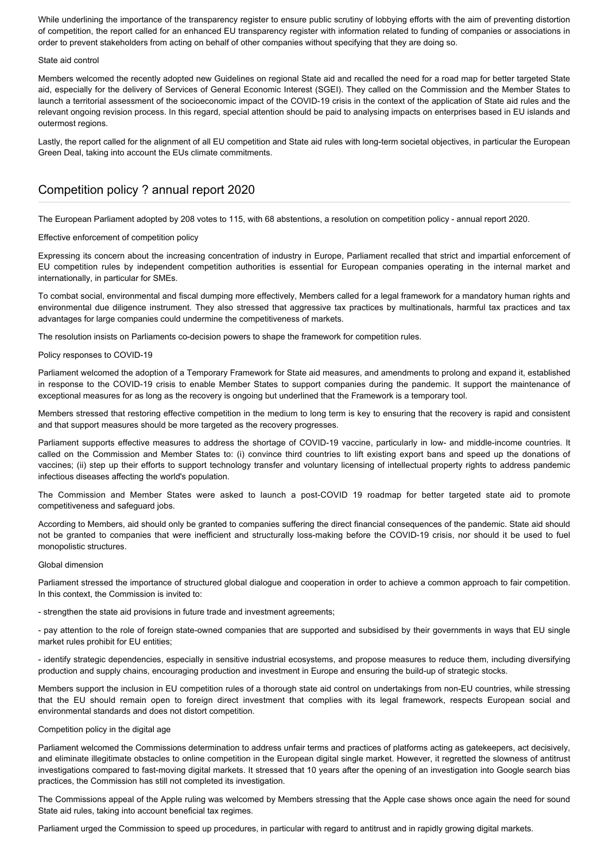While underlining the importance of the transparency register to ensure public scrutiny of lobbying efforts with the aim of preventing distortion of competition, the report called for an enhanced EU transparency register with information related to funding of companies or associations in order to prevent stakeholders from acting on behalf of other companies without specifying that they are doing so.

#### State aid control

Members welcomed the recently adopted new Guidelines on regional State aid and recalled the need for a road map for better targeted State aid, especially for the delivery of Services of General Economic Interest (SGEI). They called on the Commission and the Member States to launch a territorial assessment of the socioeconomic impact of the COVID-19 crisis in the context of the application of State aid rules and the relevant ongoing revision process. In this regard, special attention should be paid to analysing impacts on enterprises based in EU islands and outermost regions.

Lastly, the report called for the alignment of all EU competition and State aid rules with long-term societal objectives, in particular the European Green Deal, taking into account the EUs climate commitments.

## Competition policy ? annual report 2020

The European Parliament adopted by 208 votes to 115, with 68 abstentions, a resolution on competition policy - annual report 2020.

#### Effective enforcement of competition policy

Expressing its concern about the increasing concentration of industry in Europe, Parliament recalled that strict and impartial enforcement of EU competition rules by independent competition authorities is essential for European companies operating in the internal market and internationally, in particular for SMEs.

To combat social, environmental and fiscal dumping more effectively, Members called for a legal framework for a mandatory human rights and environmental due diligence instrument. They also stressed that aggressive tax practices by multinationals, harmful tax practices and tax advantages for large companies could undermine the competitiveness of markets.

The resolution insists on Parliaments co-decision powers to shape the framework for competition rules.

#### Policy responses to COVID-19

Parliament welcomed the adoption of a Temporary Framework for State aid measures, and amendments to prolong and expand it, established in response to the COVID-19 crisis to enable Member States to support companies during the pandemic. It support the maintenance of exceptional measures for as long as the recovery is ongoing but underlined that the Framework is a temporary tool.

Members stressed that restoring effective competition in the medium to long term is key to ensuring that the recovery is rapid and consistent and that support measures should be more targeted as the recovery progresses.

Parliament supports effective measures to address the shortage of COVID-19 vaccine, particularly in low- and middle-income countries. It called on the Commission and Member States to: (i) convince third countries to lift existing export bans and speed up the donations of vaccines; (ii) step up their efforts to support technology transfer and voluntary licensing of intellectual property rights to address pandemic infectious diseases affecting the world's population.

The Commission and Member States were asked to launch a post-COVID 19 roadmap for better targeted state aid to promote competitiveness and safeguard jobs.

According to Members, aid should only be granted to companies suffering the direct financial consequences of the pandemic. State aid should not be granted to companies that were inefficient and structurally loss-making before the COVID-19 crisis, nor should it be used to fuel monopolistic structures.

#### Global dimension

Parliament stressed the importance of structured global dialogue and cooperation in order to achieve a common approach to fair competition. In this context, the Commission is invited to:

- strengthen the state aid provisions in future trade and investment agreements;

- pay attention to the role of foreign state-owned companies that are supported and subsidised by their governments in ways that EU single market rules prohibit for EU entities;

- identify strategic dependencies, especially in sensitive industrial ecosystems, and propose measures to reduce them, including diversifying production and supply chains, encouraging production and investment in Europe and ensuring the build-up of strategic stocks.

Members support the inclusion in EU competition rules of a thorough state aid control on undertakings from non-EU countries, while stressing that the EU should remain open to foreign direct investment that complies with its legal framework, respects European social and environmental standards and does not distort competition.

#### Competition policy in the digital age

Parliament welcomed the Commissions determination to address unfair terms and practices of platforms acting as gatekeepers, act decisively, and eliminate illegitimate obstacles to online competition in the European digital single market. However, it regretted the slowness of antitrust investigations compared to fast-moving digital markets. It stressed that 10 years after the opening of an investigation into Google search bias practices, the Commission has still not completed its investigation.

The Commissions appeal of the Apple ruling was welcomed by Members stressing that the Apple case shows once again the need for sound State aid rules, taking into account beneficial tax regimes.

Parliament urged the Commission to speed up procedures, in particular with regard to antitrust and in rapidly growing digital markets.